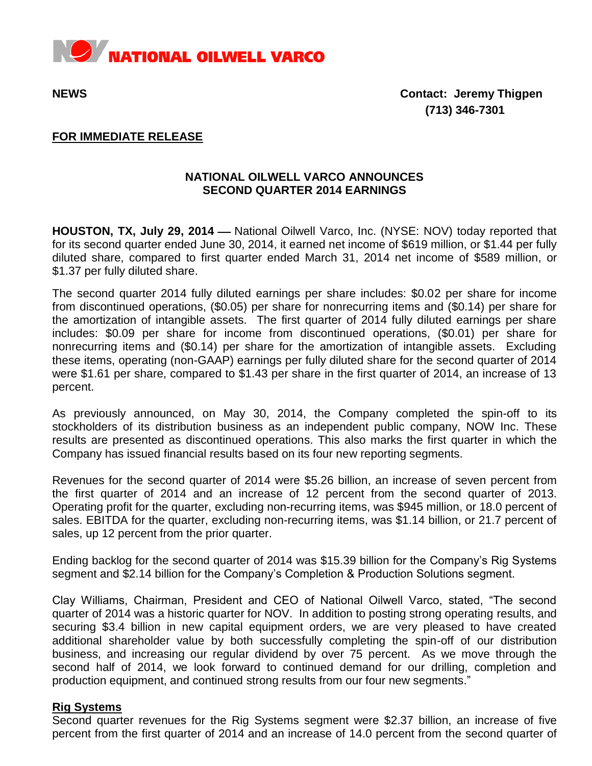

**NEWS Contact: Jeremy Thigpen (713) 346-7301**

## **FOR IMMEDIATE RELEASE**

# **NATIONAL OILWELL VARCO ANNOUNCES SECOND QUARTER 2014 EARNINGS**

**HOUSTON, TX, July 29, 2014** — National Oilwell Varco, Inc. (NYSE: NOV) today reported that for its second quarter ended June 30, 2014, it earned net income of \$619 million, or \$1.44 per fully diluted share, compared to first quarter ended March 31, 2014 net income of \$589 million, or \$1.37 per fully diluted share.

The second quarter 2014 fully diluted earnings per share includes: \$0.02 per share for income from discontinued operations, (\$0.05) per share for nonrecurring items and (\$0.14) per share for the amortization of intangible assets. The first quarter of 2014 fully diluted earnings per share includes: \$0.09 per share for income from discontinued operations, (\$0.01) per share for nonrecurring items and (\$0.14) per share for the amortization of intangible assets. Excluding these items, operating (non-GAAP) earnings per fully diluted share for the second quarter of 2014 were \$1.61 per share, compared to \$1.43 per share in the first quarter of 2014, an increase of 13 percent.

As previously announced, on May 30, 2014, the Company completed the spin-off to its stockholders of its distribution business as an independent public company, NOW Inc. These results are presented as discontinued operations. This also marks the first quarter in which the Company has issued financial results based on its four new reporting segments.

Revenues for the second quarter of 2014 were \$5.26 billion, an increase of seven percent from the first quarter of 2014 and an increase of 12 percent from the second quarter of 2013. Operating profit for the quarter, excluding non-recurring items, was \$945 million, or 18.0 percent of sales. EBITDA for the quarter, excluding non-recurring items, was \$1.14 billion, or 21.7 percent of sales, up 12 percent from the prior quarter.

Ending backlog for the second quarter of 2014 was \$15.39 billion for the Company's Rig Systems segment and \$2.14 billion for the Company's Completion & Production Solutions segment.

Clay Williams, Chairman, President and CEO of National Oilwell Varco, stated, "The second quarter of 2014 was a historic quarter for NOV. In addition to posting strong operating results, and securing \$3.4 billion in new capital equipment orders, we are very pleased to have created additional shareholder value by both successfully completing the spin-off of our distribution business, and increasing our regular dividend by over 75 percent. As we move through the second half of 2014, we look forward to continued demand for our drilling, completion and production equipment, and continued strong results from our four new segments."

## **Rig Systems**

Second quarter revenues for the Rig Systems segment were \$2.37 billion, an increase of five percent from the first quarter of 2014 and an increase of 14.0 percent from the second quarter of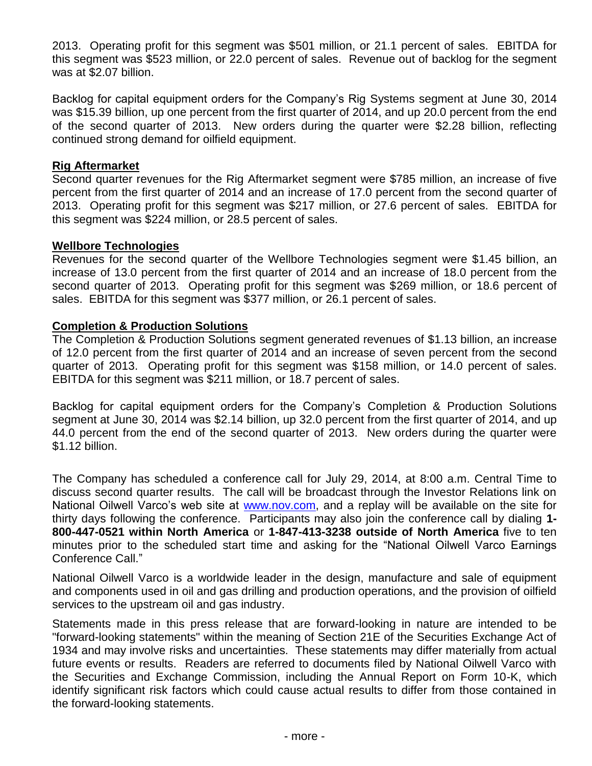2013. Operating profit for this segment was \$501 million, or 21.1 percent of sales. EBITDA for this segment was \$523 million, or 22.0 percent of sales. Revenue out of backlog for the segment was at \$2.07 billion.

Backlog for capital equipment orders for the Company's Rig Systems segment at June 30, 2014 was \$15.39 billion, up one percent from the first quarter of 2014, and up 20.0 percent from the end of the second quarter of 2013. New orders during the quarter were \$2.28 billion, reflecting continued strong demand for oilfield equipment.

# **Rig Aftermarket**

Second quarter revenues for the Rig Aftermarket segment were \$785 million, an increase of five percent from the first quarter of 2014 and an increase of 17.0 percent from the second quarter of 2013. Operating profit for this segment was \$217 million, or 27.6 percent of sales. EBITDA for this segment was \$224 million, or 28.5 percent of sales.

## **Wellbore Technologies**

Revenues for the second quarter of the Wellbore Technologies segment were \$1.45 billion, an increase of 13.0 percent from the first quarter of 2014 and an increase of 18.0 percent from the second quarter of 2013. Operating profit for this segment was \$269 million, or 18.6 percent of sales. EBITDA for this segment was \$377 million, or 26.1 percent of sales.

## **Completion & Production Solutions**

The Completion & Production Solutions segment generated revenues of \$1.13 billion, an increase of 12.0 percent from the first quarter of 2014 and an increase of seven percent from the second quarter of 2013. Operating profit for this segment was \$158 million, or 14.0 percent of sales. EBITDA for this segment was \$211 million, or 18.7 percent of sales.

Backlog for capital equipment orders for the Company's Completion & Production Solutions segment at June 30, 2014 was \$2.14 billion, up 32.0 percent from the first quarter of 2014, and up 44.0 percent from the end of the second quarter of 2013. New orders during the quarter were \$1.12 billion.

The Company has scheduled a conference call for July 29, 2014, at 8:00 a.m. Central Time to discuss second quarter results. The call will be broadcast through the Investor Relations link on National Oilwell Varco's web site at [www.nov.com,](http://www.nov.com/) and a replay will be available on the site for thirty days following the conference. Participants may also join the conference call by dialing **1- 800-447-0521 within North America** or **1-847-413-3238 outside of North America** five to ten minutes prior to the scheduled start time and asking for the "National Oilwell Varco Earnings Conference Call."

National Oilwell Varco is a worldwide leader in the design, manufacture and sale of equipment and components used in oil and gas drilling and production operations, and the provision of oilfield services to the upstream oil and gas industry.

Statements made in this press release that are forward-looking in nature are intended to be "forward-looking statements" within the meaning of Section 21E of the Securities Exchange Act of 1934 and may involve risks and uncertainties. These statements may differ materially from actual future events or results. Readers are referred to documents filed by National Oilwell Varco with the Securities and Exchange Commission, including the Annual Report on Form 10-K, which identify significant risk factors which could cause actual results to differ from those contained in the forward-looking statements.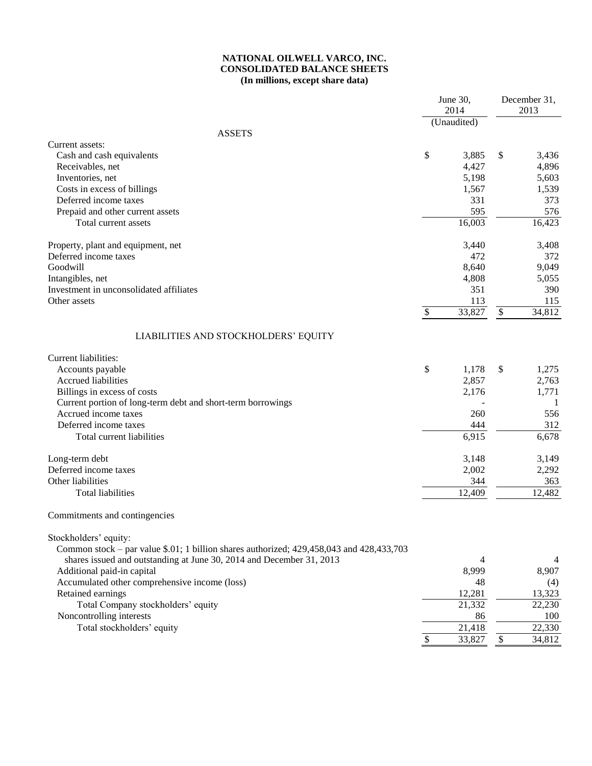### **NATIONAL OILWELL VARCO, INC. CONSOLIDATED BALANCE SHEETS (In millions, except share data)**

|                                                                                            |                           | June 30,<br>2014    | December 31,<br>2013 |                     |  |
|--------------------------------------------------------------------------------------------|---------------------------|---------------------|----------------------|---------------------|--|
|                                                                                            |                           | (Unaudited)         |                      |                     |  |
| <b>ASSETS</b>                                                                              |                           |                     |                      |                     |  |
| Current assets:                                                                            |                           |                     |                      |                     |  |
| Cash and cash equivalents                                                                  | \$                        | 3,885               | \$                   | 3,436               |  |
| Receivables, net                                                                           |                           | 4,427               |                      | 4,896               |  |
| Inventories, net                                                                           |                           | 5,198               |                      | 5,603               |  |
| Costs in excess of billings                                                                |                           | 1,567               |                      | 1,539               |  |
| Deferred income taxes                                                                      |                           | 331                 |                      | 373                 |  |
| Prepaid and other current assets                                                           |                           | 595                 |                      | 576                 |  |
| Total current assets                                                                       |                           | 16,003              |                      | 16,423              |  |
| Property, plant and equipment, net                                                         |                           | 3,440               |                      | 3,408               |  |
| Deferred income taxes                                                                      |                           | 472                 |                      | 372                 |  |
| Goodwill                                                                                   |                           | 8,640               |                      | 9,049               |  |
| Intangibles, net                                                                           |                           | 4,808               |                      | 5,055               |  |
| Investment in unconsolidated affiliates                                                    |                           | 351                 |                      | 390                 |  |
| Other assets                                                                               |                           | 113                 |                      | 115                 |  |
|                                                                                            | \$                        | 33,827              | $\mathbb{S}$         | 34,812              |  |
| LIABILITIES AND STOCKHOLDERS' EQUITY                                                       |                           |                     |                      |                     |  |
| Current liabilities:                                                                       |                           |                     |                      |                     |  |
| Accounts payable                                                                           | \$                        | 1,178               | \$                   | 1,275               |  |
| <b>Accrued liabilities</b>                                                                 |                           | 2,857               |                      | 2,763               |  |
| Billings in excess of costs                                                                |                           | 2,176               |                      | 1,771               |  |
| Current portion of long-term debt and short-term borrowings                                |                           |                     |                      | 1                   |  |
| Accrued income taxes                                                                       |                           | 260                 |                      | 556                 |  |
| Deferred income taxes                                                                      |                           | 444                 |                      | 312                 |  |
| Total current liabilities                                                                  |                           | 6,915               |                      | 6,678               |  |
|                                                                                            |                           |                     |                      |                     |  |
| Long-term debt                                                                             |                           | 3,148               |                      | 3,149               |  |
| Deferred income taxes                                                                      |                           | 2,002               |                      | 2,292               |  |
| Other liabilities                                                                          |                           | 344                 |                      | 363                 |  |
| <b>Total liabilities</b>                                                                   |                           | 12,409              |                      | 12,482              |  |
| Commitments and contingencies                                                              |                           |                     |                      |                     |  |
| Stockholders' equity:                                                                      |                           |                     |                      |                     |  |
| Common stock – par value $$.01$ ; 1 billion shares authorized; 429,458,043 and 428,433,703 |                           |                     |                      |                     |  |
| shares issued and outstanding at June 30, 2014 and December 31, 2013                       |                           | 4                   |                      | 4                   |  |
| Additional paid-in capital                                                                 |                           | 8,999               |                      | 8,907               |  |
| Accumulated other comprehensive income (loss)                                              |                           | 48                  |                      | (4)                 |  |
| Retained earnings                                                                          |                           | 12,281              |                      | 13,323              |  |
| Total Company stockholders' equity                                                         |                           | 21,332              |                      | 22,230              |  |
| Noncontrolling interests                                                                   |                           | 86                  |                      | 100                 |  |
| Total stockholders' equity                                                                 |                           | $\overline{21,418}$ |                      | $\overline{2}2,330$ |  |
|                                                                                            | $\boldsymbol{\mathsf{S}}$ | 33,827              | $\mathcal{S}$        | 34,812              |  |
|                                                                                            |                           |                     |                      |                     |  |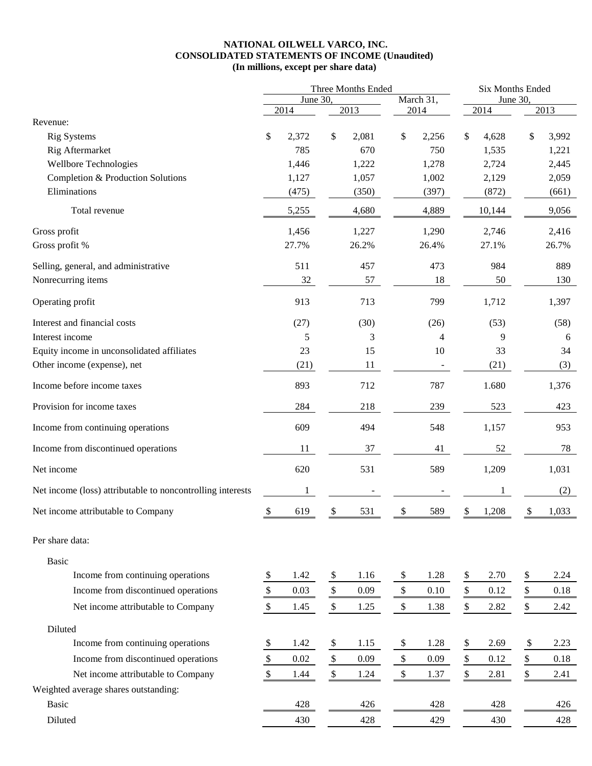### **NATIONAL OILWELL VARCO, INC. CONSOLIDATED STATEMENTS OF INCOME (Unaudited) (In millions, except per share data)**

| March 31,<br>June 30,<br>June 30,<br>2013<br>2013<br>2014<br>2014<br>2014<br>Revenue:<br>\$<br>\$<br>\$<br>\$<br>\$<br><b>Rig Systems</b><br>2,372<br>2,081<br>2,256<br>4,628<br>3,992<br>Rig Aftermarket<br>785<br>670<br>750<br>1,535<br>1,221<br>Wellbore Technologies<br>2,724<br>1,446<br>1,222<br>1,278<br>2,445<br>Completion & Production Solutions<br>1,127<br>1,057<br>1,002<br>2,129<br>2,059<br>Eliminations<br>(475)<br>(350)<br>(397)<br>(872)<br>(661)<br>4,680<br>4,889<br>9,056<br>Total revenue<br>5,255<br>10,144<br>Gross profit<br>1,456<br>1,227<br>1,290<br>2,746<br>2,416<br>27.7%<br>26.7%<br>Gross profit %<br>26.2%<br>26.4%<br>27.1%<br>511<br>457<br>473<br>984<br>889<br>Selling, general, and administrative<br>Nonrecurring items<br>32<br>57<br>18<br>50<br>130<br>Operating profit<br>913<br>799<br>1,712<br>713<br>1,397<br>Interest and financial costs<br>(27)<br>(30)<br>(26)<br>(53)<br>(58)<br>Interest income<br>9<br>5<br>3<br>4<br>6<br>23<br>15<br>10<br>Equity income in unconsolidated affiliates<br>33<br>34<br>(21)<br>11<br>(21)<br>Other income (expense), net<br>(3)<br>787<br>893<br>712<br>1.680<br>1,376<br>Income before income taxes<br>Provision for income taxes<br>284<br>218<br>239<br>523<br>423<br>609<br>Income from continuing operations<br>548<br>494<br>1,157<br>953<br>Income from discontinued operations<br>37<br>11<br>41<br>52<br>78<br>620<br>531<br>589<br>Net income<br>1,209<br>1,031<br>Net income (loss) attributable to noncontrolling interests<br>(2)<br>531<br>589<br>Net income attributable to Company<br>$\frac{3}{2}$<br>619<br>$\sqrt[6]{\frac{1}{2}}$<br>\$<br>1,208<br>1,033<br>\$<br>$\sqrt{\frac{2}{2}}$<br>Per share data:<br><b>Basic</b><br>Income from continuing operations<br>2.70<br>\$<br>2.24<br>\$<br>1.42<br>\$<br>1.16<br>\$<br>1.28<br>\$<br>$\$$<br>$\mathbb{S}$<br>$\frac{1}{2}$<br>$\frac{1}{2}$<br>Income from discontinued operations<br>\$<br>0.03<br>0.09<br>0.10<br>0.12<br>0.18<br>$\mathbb{S}$<br>$\$$<br>\$<br>Net income attributable to Company<br>\$<br>\$<br>1.25<br>2.42<br>1.45<br>1.38<br>2.82<br>Diluted<br>Income from continuing operations<br>1.42<br>$\$$<br>1.15<br>\$<br>1.28<br>\$<br>$\boldsymbol{\$}$<br>2.23<br>\$<br>2.69<br>$\frac{1}{2}$<br>$\$$<br>$\$$<br>\$<br>$\frac{\text{S}}{\text{S}}$<br>Income from discontinued operations<br>$0.02\,$<br>0.09<br>0.09<br>0.12<br>0.18<br>\$<br>$\mathbb{S}$<br>$\$\,$<br>\$<br>\$<br>Net income attributable to Company<br>1.37<br>1.44<br>1.24<br>2.81<br>2.41<br>Weighted average shares outstanding:<br>428<br>426<br>428<br>428<br><b>Basic</b><br>426<br>Diluted<br>430<br>428<br>429<br>430<br>428 | Three Months Ended |  |  |  |  | Six Months Ended |  |  |  |  |
|---------------------------------------------------------------------------------------------------------------------------------------------------------------------------------------------------------------------------------------------------------------------------------------------------------------------------------------------------------------------------------------------------------------------------------------------------------------------------------------------------------------------------------------------------------------------------------------------------------------------------------------------------------------------------------------------------------------------------------------------------------------------------------------------------------------------------------------------------------------------------------------------------------------------------------------------------------------------------------------------------------------------------------------------------------------------------------------------------------------------------------------------------------------------------------------------------------------------------------------------------------------------------------------------------------------------------------------------------------------------------------------------------------------------------------------------------------------------------------------------------------------------------------------------------------------------------------------------------------------------------------------------------------------------------------------------------------------------------------------------------------------------------------------------------------------------------------------------------------------------------------------------------------------------------------------------------------------------------------------------------------------------------------------------------------------------------------------------------------------------------------------------------------------------------------------------------------------------------------------------------------------------------------------------------------------------------------------------------------------------------------------------------------------------------------------------------------------------------------------------------------------------------------------------------------------------------------------------------------------------------------------------------------------------------------------------|--------------------|--|--|--|--|------------------|--|--|--|--|
|                                                                                                                                                                                                                                                                                                                                                                                                                                                                                                                                                                                                                                                                                                                                                                                                                                                                                                                                                                                                                                                                                                                                                                                                                                                                                                                                                                                                                                                                                                                                                                                                                                                                                                                                                                                                                                                                                                                                                                                                                                                                                                                                                                                                                                                                                                                                                                                                                                                                                                                                                                                                                                                                                             |                    |  |  |  |  |                  |  |  |  |  |
|                                                                                                                                                                                                                                                                                                                                                                                                                                                                                                                                                                                                                                                                                                                                                                                                                                                                                                                                                                                                                                                                                                                                                                                                                                                                                                                                                                                                                                                                                                                                                                                                                                                                                                                                                                                                                                                                                                                                                                                                                                                                                                                                                                                                                                                                                                                                                                                                                                                                                                                                                                                                                                                                                             |                    |  |  |  |  |                  |  |  |  |  |
|                                                                                                                                                                                                                                                                                                                                                                                                                                                                                                                                                                                                                                                                                                                                                                                                                                                                                                                                                                                                                                                                                                                                                                                                                                                                                                                                                                                                                                                                                                                                                                                                                                                                                                                                                                                                                                                                                                                                                                                                                                                                                                                                                                                                                                                                                                                                                                                                                                                                                                                                                                                                                                                                                             |                    |  |  |  |  |                  |  |  |  |  |
|                                                                                                                                                                                                                                                                                                                                                                                                                                                                                                                                                                                                                                                                                                                                                                                                                                                                                                                                                                                                                                                                                                                                                                                                                                                                                                                                                                                                                                                                                                                                                                                                                                                                                                                                                                                                                                                                                                                                                                                                                                                                                                                                                                                                                                                                                                                                                                                                                                                                                                                                                                                                                                                                                             |                    |  |  |  |  |                  |  |  |  |  |
|                                                                                                                                                                                                                                                                                                                                                                                                                                                                                                                                                                                                                                                                                                                                                                                                                                                                                                                                                                                                                                                                                                                                                                                                                                                                                                                                                                                                                                                                                                                                                                                                                                                                                                                                                                                                                                                                                                                                                                                                                                                                                                                                                                                                                                                                                                                                                                                                                                                                                                                                                                                                                                                                                             |                    |  |  |  |  |                  |  |  |  |  |
|                                                                                                                                                                                                                                                                                                                                                                                                                                                                                                                                                                                                                                                                                                                                                                                                                                                                                                                                                                                                                                                                                                                                                                                                                                                                                                                                                                                                                                                                                                                                                                                                                                                                                                                                                                                                                                                                                                                                                                                                                                                                                                                                                                                                                                                                                                                                                                                                                                                                                                                                                                                                                                                                                             |                    |  |  |  |  |                  |  |  |  |  |
|                                                                                                                                                                                                                                                                                                                                                                                                                                                                                                                                                                                                                                                                                                                                                                                                                                                                                                                                                                                                                                                                                                                                                                                                                                                                                                                                                                                                                                                                                                                                                                                                                                                                                                                                                                                                                                                                                                                                                                                                                                                                                                                                                                                                                                                                                                                                                                                                                                                                                                                                                                                                                                                                                             |                    |  |  |  |  |                  |  |  |  |  |
|                                                                                                                                                                                                                                                                                                                                                                                                                                                                                                                                                                                                                                                                                                                                                                                                                                                                                                                                                                                                                                                                                                                                                                                                                                                                                                                                                                                                                                                                                                                                                                                                                                                                                                                                                                                                                                                                                                                                                                                                                                                                                                                                                                                                                                                                                                                                                                                                                                                                                                                                                                                                                                                                                             |                    |  |  |  |  |                  |  |  |  |  |
|                                                                                                                                                                                                                                                                                                                                                                                                                                                                                                                                                                                                                                                                                                                                                                                                                                                                                                                                                                                                                                                                                                                                                                                                                                                                                                                                                                                                                                                                                                                                                                                                                                                                                                                                                                                                                                                                                                                                                                                                                                                                                                                                                                                                                                                                                                                                                                                                                                                                                                                                                                                                                                                                                             |                    |  |  |  |  |                  |  |  |  |  |
|                                                                                                                                                                                                                                                                                                                                                                                                                                                                                                                                                                                                                                                                                                                                                                                                                                                                                                                                                                                                                                                                                                                                                                                                                                                                                                                                                                                                                                                                                                                                                                                                                                                                                                                                                                                                                                                                                                                                                                                                                                                                                                                                                                                                                                                                                                                                                                                                                                                                                                                                                                                                                                                                                             |                    |  |  |  |  |                  |  |  |  |  |
|                                                                                                                                                                                                                                                                                                                                                                                                                                                                                                                                                                                                                                                                                                                                                                                                                                                                                                                                                                                                                                                                                                                                                                                                                                                                                                                                                                                                                                                                                                                                                                                                                                                                                                                                                                                                                                                                                                                                                                                                                                                                                                                                                                                                                                                                                                                                                                                                                                                                                                                                                                                                                                                                                             |                    |  |  |  |  |                  |  |  |  |  |
|                                                                                                                                                                                                                                                                                                                                                                                                                                                                                                                                                                                                                                                                                                                                                                                                                                                                                                                                                                                                                                                                                                                                                                                                                                                                                                                                                                                                                                                                                                                                                                                                                                                                                                                                                                                                                                                                                                                                                                                                                                                                                                                                                                                                                                                                                                                                                                                                                                                                                                                                                                                                                                                                                             |                    |  |  |  |  |                  |  |  |  |  |
|                                                                                                                                                                                                                                                                                                                                                                                                                                                                                                                                                                                                                                                                                                                                                                                                                                                                                                                                                                                                                                                                                                                                                                                                                                                                                                                                                                                                                                                                                                                                                                                                                                                                                                                                                                                                                                                                                                                                                                                                                                                                                                                                                                                                                                                                                                                                                                                                                                                                                                                                                                                                                                                                                             |                    |  |  |  |  |                  |  |  |  |  |
|                                                                                                                                                                                                                                                                                                                                                                                                                                                                                                                                                                                                                                                                                                                                                                                                                                                                                                                                                                                                                                                                                                                                                                                                                                                                                                                                                                                                                                                                                                                                                                                                                                                                                                                                                                                                                                                                                                                                                                                                                                                                                                                                                                                                                                                                                                                                                                                                                                                                                                                                                                                                                                                                                             |                    |  |  |  |  |                  |  |  |  |  |
|                                                                                                                                                                                                                                                                                                                                                                                                                                                                                                                                                                                                                                                                                                                                                                                                                                                                                                                                                                                                                                                                                                                                                                                                                                                                                                                                                                                                                                                                                                                                                                                                                                                                                                                                                                                                                                                                                                                                                                                                                                                                                                                                                                                                                                                                                                                                                                                                                                                                                                                                                                                                                                                                                             |                    |  |  |  |  |                  |  |  |  |  |
|                                                                                                                                                                                                                                                                                                                                                                                                                                                                                                                                                                                                                                                                                                                                                                                                                                                                                                                                                                                                                                                                                                                                                                                                                                                                                                                                                                                                                                                                                                                                                                                                                                                                                                                                                                                                                                                                                                                                                                                                                                                                                                                                                                                                                                                                                                                                                                                                                                                                                                                                                                                                                                                                                             |                    |  |  |  |  |                  |  |  |  |  |
|                                                                                                                                                                                                                                                                                                                                                                                                                                                                                                                                                                                                                                                                                                                                                                                                                                                                                                                                                                                                                                                                                                                                                                                                                                                                                                                                                                                                                                                                                                                                                                                                                                                                                                                                                                                                                                                                                                                                                                                                                                                                                                                                                                                                                                                                                                                                                                                                                                                                                                                                                                                                                                                                                             |                    |  |  |  |  |                  |  |  |  |  |
|                                                                                                                                                                                                                                                                                                                                                                                                                                                                                                                                                                                                                                                                                                                                                                                                                                                                                                                                                                                                                                                                                                                                                                                                                                                                                                                                                                                                                                                                                                                                                                                                                                                                                                                                                                                                                                                                                                                                                                                                                                                                                                                                                                                                                                                                                                                                                                                                                                                                                                                                                                                                                                                                                             |                    |  |  |  |  |                  |  |  |  |  |
|                                                                                                                                                                                                                                                                                                                                                                                                                                                                                                                                                                                                                                                                                                                                                                                                                                                                                                                                                                                                                                                                                                                                                                                                                                                                                                                                                                                                                                                                                                                                                                                                                                                                                                                                                                                                                                                                                                                                                                                                                                                                                                                                                                                                                                                                                                                                                                                                                                                                                                                                                                                                                                                                                             |                    |  |  |  |  |                  |  |  |  |  |
|                                                                                                                                                                                                                                                                                                                                                                                                                                                                                                                                                                                                                                                                                                                                                                                                                                                                                                                                                                                                                                                                                                                                                                                                                                                                                                                                                                                                                                                                                                                                                                                                                                                                                                                                                                                                                                                                                                                                                                                                                                                                                                                                                                                                                                                                                                                                                                                                                                                                                                                                                                                                                                                                                             |                    |  |  |  |  |                  |  |  |  |  |
|                                                                                                                                                                                                                                                                                                                                                                                                                                                                                                                                                                                                                                                                                                                                                                                                                                                                                                                                                                                                                                                                                                                                                                                                                                                                                                                                                                                                                                                                                                                                                                                                                                                                                                                                                                                                                                                                                                                                                                                                                                                                                                                                                                                                                                                                                                                                                                                                                                                                                                                                                                                                                                                                                             |                    |  |  |  |  |                  |  |  |  |  |
|                                                                                                                                                                                                                                                                                                                                                                                                                                                                                                                                                                                                                                                                                                                                                                                                                                                                                                                                                                                                                                                                                                                                                                                                                                                                                                                                                                                                                                                                                                                                                                                                                                                                                                                                                                                                                                                                                                                                                                                                                                                                                                                                                                                                                                                                                                                                                                                                                                                                                                                                                                                                                                                                                             |                    |  |  |  |  |                  |  |  |  |  |
|                                                                                                                                                                                                                                                                                                                                                                                                                                                                                                                                                                                                                                                                                                                                                                                                                                                                                                                                                                                                                                                                                                                                                                                                                                                                                                                                                                                                                                                                                                                                                                                                                                                                                                                                                                                                                                                                                                                                                                                                                                                                                                                                                                                                                                                                                                                                                                                                                                                                                                                                                                                                                                                                                             |                    |  |  |  |  |                  |  |  |  |  |
|                                                                                                                                                                                                                                                                                                                                                                                                                                                                                                                                                                                                                                                                                                                                                                                                                                                                                                                                                                                                                                                                                                                                                                                                                                                                                                                                                                                                                                                                                                                                                                                                                                                                                                                                                                                                                                                                                                                                                                                                                                                                                                                                                                                                                                                                                                                                                                                                                                                                                                                                                                                                                                                                                             |                    |  |  |  |  |                  |  |  |  |  |
|                                                                                                                                                                                                                                                                                                                                                                                                                                                                                                                                                                                                                                                                                                                                                                                                                                                                                                                                                                                                                                                                                                                                                                                                                                                                                                                                                                                                                                                                                                                                                                                                                                                                                                                                                                                                                                                                                                                                                                                                                                                                                                                                                                                                                                                                                                                                                                                                                                                                                                                                                                                                                                                                                             |                    |  |  |  |  |                  |  |  |  |  |
|                                                                                                                                                                                                                                                                                                                                                                                                                                                                                                                                                                                                                                                                                                                                                                                                                                                                                                                                                                                                                                                                                                                                                                                                                                                                                                                                                                                                                                                                                                                                                                                                                                                                                                                                                                                                                                                                                                                                                                                                                                                                                                                                                                                                                                                                                                                                                                                                                                                                                                                                                                                                                                                                                             |                    |  |  |  |  |                  |  |  |  |  |
|                                                                                                                                                                                                                                                                                                                                                                                                                                                                                                                                                                                                                                                                                                                                                                                                                                                                                                                                                                                                                                                                                                                                                                                                                                                                                                                                                                                                                                                                                                                                                                                                                                                                                                                                                                                                                                                                                                                                                                                                                                                                                                                                                                                                                                                                                                                                                                                                                                                                                                                                                                                                                                                                                             |                    |  |  |  |  |                  |  |  |  |  |
|                                                                                                                                                                                                                                                                                                                                                                                                                                                                                                                                                                                                                                                                                                                                                                                                                                                                                                                                                                                                                                                                                                                                                                                                                                                                                                                                                                                                                                                                                                                                                                                                                                                                                                                                                                                                                                                                                                                                                                                                                                                                                                                                                                                                                                                                                                                                                                                                                                                                                                                                                                                                                                                                                             |                    |  |  |  |  |                  |  |  |  |  |
|                                                                                                                                                                                                                                                                                                                                                                                                                                                                                                                                                                                                                                                                                                                                                                                                                                                                                                                                                                                                                                                                                                                                                                                                                                                                                                                                                                                                                                                                                                                                                                                                                                                                                                                                                                                                                                                                                                                                                                                                                                                                                                                                                                                                                                                                                                                                                                                                                                                                                                                                                                                                                                                                                             |                    |  |  |  |  |                  |  |  |  |  |
|                                                                                                                                                                                                                                                                                                                                                                                                                                                                                                                                                                                                                                                                                                                                                                                                                                                                                                                                                                                                                                                                                                                                                                                                                                                                                                                                                                                                                                                                                                                                                                                                                                                                                                                                                                                                                                                                                                                                                                                                                                                                                                                                                                                                                                                                                                                                                                                                                                                                                                                                                                                                                                                                                             |                    |  |  |  |  |                  |  |  |  |  |
|                                                                                                                                                                                                                                                                                                                                                                                                                                                                                                                                                                                                                                                                                                                                                                                                                                                                                                                                                                                                                                                                                                                                                                                                                                                                                                                                                                                                                                                                                                                                                                                                                                                                                                                                                                                                                                                                                                                                                                                                                                                                                                                                                                                                                                                                                                                                                                                                                                                                                                                                                                                                                                                                                             |                    |  |  |  |  |                  |  |  |  |  |
|                                                                                                                                                                                                                                                                                                                                                                                                                                                                                                                                                                                                                                                                                                                                                                                                                                                                                                                                                                                                                                                                                                                                                                                                                                                                                                                                                                                                                                                                                                                                                                                                                                                                                                                                                                                                                                                                                                                                                                                                                                                                                                                                                                                                                                                                                                                                                                                                                                                                                                                                                                                                                                                                                             |                    |  |  |  |  |                  |  |  |  |  |
|                                                                                                                                                                                                                                                                                                                                                                                                                                                                                                                                                                                                                                                                                                                                                                                                                                                                                                                                                                                                                                                                                                                                                                                                                                                                                                                                                                                                                                                                                                                                                                                                                                                                                                                                                                                                                                                                                                                                                                                                                                                                                                                                                                                                                                                                                                                                                                                                                                                                                                                                                                                                                                                                                             |                    |  |  |  |  |                  |  |  |  |  |
|                                                                                                                                                                                                                                                                                                                                                                                                                                                                                                                                                                                                                                                                                                                                                                                                                                                                                                                                                                                                                                                                                                                                                                                                                                                                                                                                                                                                                                                                                                                                                                                                                                                                                                                                                                                                                                                                                                                                                                                                                                                                                                                                                                                                                                                                                                                                                                                                                                                                                                                                                                                                                                                                                             |                    |  |  |  |  |                  |  |  |  |  |
|                                                                                                                                                                                                                                                                                                                                                                                                                                                                                                                                                                                                                                                                                                                                                                                                                                                                                                                                                                                                                                                                                                                                                                                                                                                                                                                                                                                                                                                                                                                                                                                                                                                                                                                                                                                                                                                                                                                                                                                                                                                                                                                                                                                                                                                                                                                                                                                                                                                                                                                                                                                                                                                                                             |                    |  |  |  |  |                  |  |  |  |  |
|                                                                                                                                                                                                                                                                                                                                                                                                                                                                                                                                                                                                                                                                                                                                                                                                                                                                                                                                                                                                                                                                                                                                                                                                                                                                                                                                                                                                                                                                                                                                                                                                                                                                                                                                                                                                                                                                                                                                                                                                                                                                                                                                                                                                                                                                                                                                                                                                                                                                                                                                                                                                                                                                                             |                    |  |  |  |  |                  |  |  |  |  |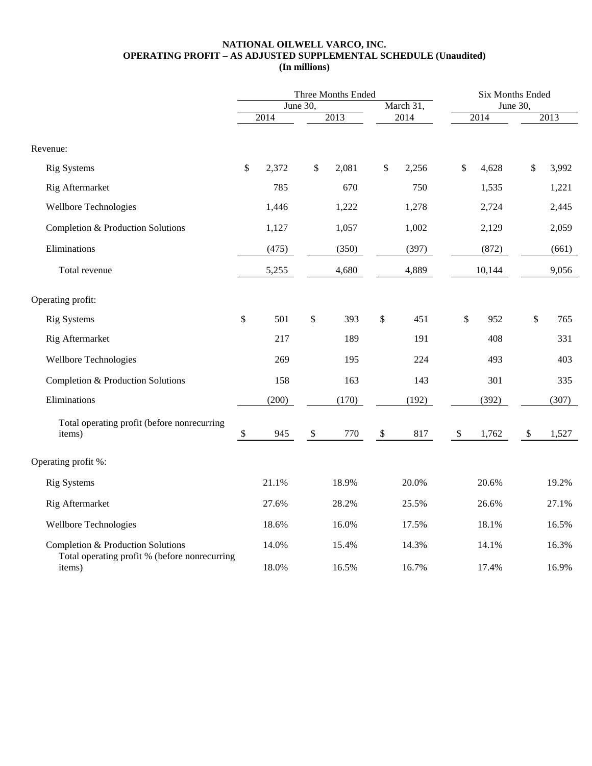#### **NATIONAL OILWELL VARCO, INC. OPERATING PROFIT – AS ADJUSTED SUPPLEMENTAL SCHEDULE (Unaudited) (In millions)**

|                                                                                    |                           | Three Months Ended    |                           |       |                           |       | Six Months Ended          |        |                           |       |  |  |
|------------------------------------------------------------------------------------|---------------------------|-----------------------|---------------------------|-------|---------------------------|-------|---------------------------|--------|---------------------------|-------|--|--|
|                                                                                    |                           | March 31,<br>June 30, |                           |       | June 30,                  |       |                           |        |                           |       |  |  |
|                                                                                    |                           | 2014                  |                           | 2013  |                           | 2014  |                           | 2014   |                           | 2013  |  |  |
| Revenue:                                                                           |                           |                       |                           |       |                           |       |                           |        |                           |       |  |  |
| <b>Rig Systems</b>                                                                 | \$                        | 2,372                 | \$                        | 2,081 | $\$\,$                    | 2,256 | \$                        | 4,628  | $\mathcal{S}$             | 3,992 |  |  |
| Rig Aftermarket                                                                    |                           | 785                   |                           | 670   |                           | 750   |                           | 1,535  |                           | 1,221 |  |  |
| <b>Wellbore Technologies</b>                                                       |                           | 1,446                 |                           | 1,222 |                           | 1,278 |                           | 2,724  |                           | 2,445 |  |  |
| Completion & Production Solutions                                                  |                           | 1,127                 |                           | 1,057 |                           | 1,002 |                           | 2,129  |                           | 2,059 |  |  |
| Eliminations                                                                       |                           | (475)                 |                           | (350) |                           | (397) |                           | (872)  |                           | (661) |  |  |
| Total revenue                                                                      |                           | 5,255                 |                           | 4,680 |                           | 4,889 |                           | 10,144 |                           | 9,056 |  |  |
| Operating profit:                                                                  |                           |                       |                           |       |                           |       |                           |        |                           |       |  |  |
| <b>Rig Systems</b>                                                                 | \$                        | 501                   | \$                        | 393   | \$                        | 451   | \$                        | 952    | \$                        | 765   |  |  |
| Rig Aftermarket                                                                    |                           | 217                   |                           | 189   |                           | 191   |                           | 408    |                           | 331   |  |  |
| <b>Wellbore Technologies</b>                                                       |                           | 269                   |                           | 195   |                           | 224   |                           | 493    |                           | 403   |  |  |
| Completion & Production Solutions                                                  |                           | 158                   |                           | 163   |                           | 143   |                           | 301    |                           | 335   |  |  |
| Eliminations                                                                       |                           | (200)                 |                           | (170) |                           | (192) |                           | (392)  |                           | (307) |  |  |
| Total operating profit (before nonrecurring<br>items)                              | $\boldsymbol{\mathsf{S}}$ | 945                   | $\boldsymbol{\mathsf{S}}$ | 770   | $\boldsymbol{\mathsf{S}}$ | 817   | $\boldsymbol{\mathsf{S}}$ | 1,762  | $\boldsymbol{\mathsf{S}}$ | 1,527 |  |  |
| Operating profit %:                                                                |                           |                       |                           |       |                           |       |                           |        |                           |       |  |  |
| <b>Rig Systems</b>                                                                 |                           | 21.1%                 |                           | 18.9% |                           | 20.0% |                           | 20.6%  |                           | 19.2% |  |  |
| Rig Aftermarket                                                                    |                           | 27.6%                 |                           | 28.2% |                           | 25.5% |                           | 26.6%  |                           | 27.1% |  |  |
| <b>Wellbore Technologies</b>                                                       |                           | 18.6%                 |                           | 16.0% |                           | 17.5% |                           | 18.1%  |                           | 16.5% |  |  |
| Completion & Production Solutions<br>Total operating profit % (before nonrecurring |                           | 14.0%                 |                           | 15.4% |                           | 14.3% |                           | 14.1%  |                           | 16.3% |  |  |
| items)                                                                             |                           | 18.0%                 |                           | 16.5% |                           | 16.7% |                           | 17.4%  |                           | 16.9% |  |  |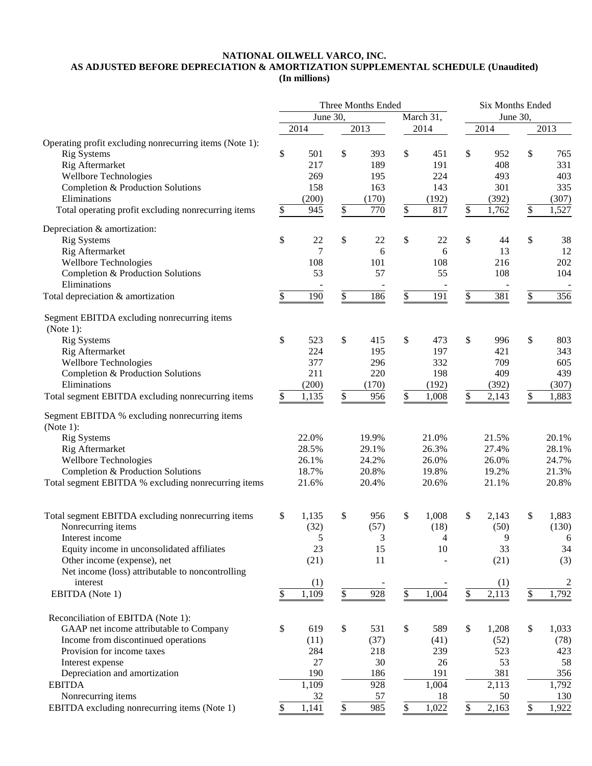### **NATIONAL OILWELL VARCO, INC. AS ADJUSTED BEFORE DEPRECIATION & AMORTIZATION SUPPLEMENTAL SCHEDULE (Unaudited) (In millions)**

|                                                               | Three Months Ended |            |               |                |    | <b>Six Months Ended</b> |          |              |    |                |
|---------------------------------------------------------------|--------------------|------------|---------------|----------------|----|-------------------------|----------|--------------|----|----------------|
|                                                               | June 30,           |            | March 31,     |                |    |                         | June 30, |              |    |                |
|                                                               |                    | 2014       |               | 2013           |    | 2014                    |          | 2014         |    | 2013           |
| Operating profit excluding nonrecurring items (Note 1):       |                    |            |               |                |    |                         |          |              |    |                |
| <b>Rig Systems</b>                                            | \$                 | 501        | \$            | 393            | \$ | 451                     | \$       | 952          | \$ | 765            |
| Rig Aftermarket                                               |                    | 217        |               | 189            |    | 191                     |          | 408          |    | 331            |
| <b>Wellbore Technologies</b>                                  |                    | 269        |               | 195            |    | 224                     |          | 493          |    | 403            |
| Completion & Production Solutions                             |                    | 158        |               | 163            |    | 143                     |          | 301          |    | 335            |
| Eliminations                                                  |                    | (200)      |               | (170)          |    | (192)                   |          | (392)        |    | (307)          |
| Total operating profit excluding nonrecurring items           | \$                 | 945        | $\frac{1}{2}$ | 770            | \$ | 817                     | \$       | 1,762        | \$ | 1,527          |
| Depreciation & amortization:                                  |                    |            |               |                |    |                         |          |              |    |                |
| <b>Rig Systems</b>                                            | \$                 | 22         | \$            | 22             | \$ | 22                      | \$       | 44           | \$ | 38             |
| Rig Aftermarket                                               |                    | 7          |               | 6              |    | 6                       |          | 13           |    | 12             |
| Wellbore Technologies                                         |                    | 108        |               | 101            |    | 108                     |          | 216          |    | 202            |
| Completion & Production Solutions                             |                    | 53         |               | 57             |    | 55                      |          | 108          |    | 104            |
| Eliminations                                                  |                    |            |               |                |    |                         |          |              |    |                |
| Total depreciation & amortization                             | \$                 | 190        | \$            | 186            | \$ | 191                     | \$       | 381          | \$ | 356            |
| Segment EBITDA excluding nonrecurring items                   |                    |            |               |                |    |                         |          |              |    |                |
| (Note 1):                                                     |                    |            |               |                |    |                         |          |              |    |                |
| <b>Rig Systems</b>                                            | \$                 | 523<br>224 | \$            | 415<br>195     | \$ | 473<br>197              | \$       | 996<br>421   | \$ | 803<br>343     |
| Rig Aftermarket                                               |                    | 377        |               | 296            |    | 332                     |          | 709          |    | 605            |
| <b>Wellbore Technologies</b>                                  |                    | 211        |               | 220            |    |                         |          |              |    | 439            |
| Completion & Production Solutions<br>Eliminations             |                    | (200)      |               | (170)          |    | 198<br>(192)            |          | 409<br>(392) |    | (307)          |
| Total segment EBITDA excluding nonrecurring items             | \$                 | 1,135      | \$            | 956            | \$ | 1,008                   | \$       | 2,143        | \$ | 1,883          |
|                                                               |                    |            |               |                |    |                         |          |              |    |                |
| Segment EBITDA % excluding nonrecurring items<br>(Note $1$ ): |                    |            |               |                |    |                         |          |              |    |                |
| <b>Rig Systems</b>                                            |                    | 22.0%      |               | 19.9%          |    | 21.0%                   |          | 21.5%        |    | 20.1%          |
| Rig Aftermarket                                               |                    | 28.5%      |               | 29.1%          |    | 26.3%                   |          | 27.4%        |    | 28.1%          |
| <b>Wellbore Technologies</b>                                  |                    | 26.1%      |               | 24.2%          |    | 26.0%                   |          | 26.0%        |    | 24.7%          |
| Completion & Production Solutions                             |                    | 18.7%      |               | 20.8%          |    | 19.8%                   |          | 19.2%        |    | 21.3%          |
| Total segment EBITDA % excluding nonrecurring items           |                    | 21.6%      |               | 20.4%          |    | 20.6%                   |          | 21.1%        |    | 20.8%          |
|                                                               |                    |            |               |                |    |                         |          |              |    |                |
| Total segment EBITDA excluding nonrecurring items             | \$                 | 1,135      | \$            | 956            | \$ | 1,008                   | \$       | 2,143        | \$ | 1,883          |
| Nonrecurring items                                            |                    | (32)       |               | (57)           |    | (18)                    |          | (50)         |    | (130)          |
| Interest income                                               |                    | 5          |               | $\mathfrak{Z}$ |    | $\overline{4}$          |          | 9            |    | 6              |
| Equity income in unconsolidated affiliates                    |                    | 23         |               | 15             |    | 10                      |          | 33           |    | 34             |
| Other income (expense), net                                   |                    | (21)       |               | 11             |    |                         |          | (21)         |    | (3)            |
| Net income (loss) attributable to noncontrolling              |                    |            |               |                |    |                         |          |              |    |                |
| interest                                                      |                    | (1)        |               |                |    |                         |          | (1)          |    | $\overline{2}$ |
| EBITDA (Note 1)                                               | \$                 | 1,109      | \$            | 928            | \$ | 1,004                   | \$       | 2,113        | \$ | 1,792          |
| Reconciliation of EBITDA (Note 1):                            |                    |            |               |                |    |                         |          |              |    |                |
| GAAP net income attributable to Company                       | \$                 | 619        | \$            | 531            | \$ | 589                     | \$       | 1,208        | \$ | 1,033          |
| Income from discontinued operations                           |                    | (11)       |               | (37)           |    | (41)                    |          | (52)         |    | (78)           |
| Provision for income taxes                                    |                    | 284        |               | 218            |    | 239                     |          | 523          |    | 423            |
| Interest expense                                              |                    | 27         |               | 30             |    | 26                      |          | 53           |    | 58             |
| Depreciation and amortization                                 |                    | 190        |               | 186            |    | 191                     |          | 381          |    | 356            |
| <b>EBITDA</b>                                                 |                    | 1,109      |               | 928            |    | 1,004                   |          | 2,113        |    | 1,792          |
| Nonrecurring items                                            |                    | 32         |               | 57             |    | 18                      |          | 50           |    | 130            |
| EBITDA excluding nonrecurring items (Note 1)                  | \$                 | 1,141      | \$            | 985            | \$ | 1,022                   | \$       | 2,163        | \$ | 1,922          |